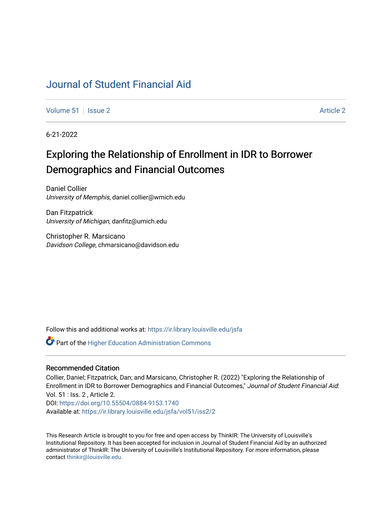## [Journal of Student Financial Aid](https://ir.library.louisville.edu/jsfa)

[Volume 51](https://ir.library.louisville.edu/jsfa/vol51) | [Issue 2](https://ir.library.louisville.edu/jsfa/vol51/iss2) Article 2

6-21-2022

# Exploring the Relationship of Enrollment in IDR to Borrower Demographics and Financial Outcomes

Daniel Collier University of Memphis, daniel.collier@wmich.edu

Dan Fitzpatrick University of Michigan, danfitz@umich.edu

Christopher R. Marsicano Davidson College, chmarsicano@davidson.edu

Follow this and additional works at: [https://ir.library.louisville.edu/jsfa](https://ir.library.louisville.edu/jsfa?utm_source=ir.library.louisville.edu%2Fjsfa%2Fvol51%2Fiss2%2F2&utm_medium=PDF&utm_campaign=PDFCoverPages) 

**Part of the Higher Education Administration Commons** 

## Recommended Citation

Collier, Daniel; Fitzpatrick, Dan; and Marsicano, Christopher R. (2022) "Exploring the Relationship of Enrollment in IDR to Borrower Demographics and Financial Outcomes," Journal of Student Financial Aid: Vol. 51 : Iss. 2 , Article 2. DOI:<https://doi.org/10.55504/0884-9153.1740> Available at: [https://ir.library.louisville.edu/jsfa/vol51/iss2/2](https://ir.library.louisville.edu/jsfa/vol51/iss2/2?utm_source=ir.library.louisville.edu%2Fjsfa%2Fvol51%2Fiss2%2F2&utm_medium=PDF&utm_campaign=PDFCoverPages) 

This Research Article is brought to you for free and open access by ThinkIR: The University of Louisville's Institutional Repository. It has been accepted for inclusion in Journal of Student Financial Aid by an authorized administrator of ThinkIR: The University of Louisville's Institutional Repository. For more information, please contact [thinkir@louisville.edu](mailto:thinkir@louisville.edu).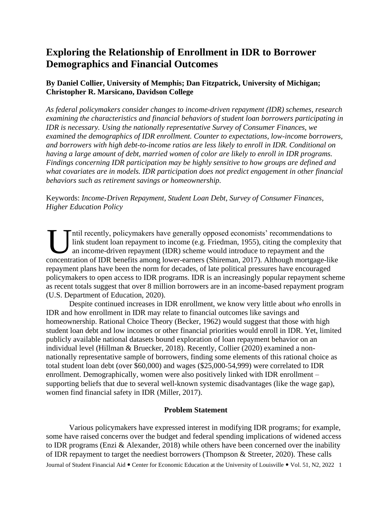## **Exploring the Relationship of Enrollment in IDR to Borrower Demographics and Financial Outcomes**

## **By Daniel Collier, University of Memphis; Dan Fitzpatrick, University of Michigan; Christopher R. Marsicano, Davidson College**

*As federal policymakers consider changes to income-driven repayment (IDR) schemes, research examining the characteristics and financial behaviors of student loan borrowers participating in IDR is necessary. Using the nationally representative Survey of Consumer Finances, we examined the demographics of IDR enrollment. Counter to expectations, low-income borrowers, and borrowers with high debt-to-income ratios are less likely to enroll in IDR. Conditional on having a large amount of debt, married women of color are likely to enroll in IDR programs. Findings concerning IDR participation may be highly sensitive to how groups are defined and what covariates are in models. IDR participation does not predict engagement in other financial behaviors such as retirement savings or homeownership.*

Keywords: *Income-Driven Repayment, Student Loan Debt, Survey of Consumer Finances, Higher Education Policy*

ntil recently, policymakers have generally opposed economists' recommendations to link student loan repayment to income (e.g. Friedman, 1955), citing the complexity that an income-driven repayment (IDR) scheme would introduce to repayment and the Intil recently, policymakers have generally opposed economists' recommendations to link student loan repayment to income (e.g. Friedman, 1955), citing the complexity that an income-driven repayment (IDR) scheme would intro repayment plans have been the norm for decades, of late political pressures have encouraged policymakers to open access to IDR programs. IDR is an increasingly popular repayment scheme as recent totals suggest that over 8 million borrowers are in an income-based repayment program (U.S. Department of Education, 2020).

Despite continued increases in IDR enrollment, we know very little about *who* enrolls in IDR and how enrollment in IDR may relate to financial outcomes like savings and homeownership. Rational Choice Theory (Becker, 1962) would suggest that those with high student loan debt and low incomes or other financial priorities would enroll in IDR. Yet, limited publicly available national datasets bound exploration of loan repayment behavior on an individual level (Hillman & Bruecker, 2018). Recently, Collier (2020) examined a nonnationally representative sample of borrowers, finding some elements of this rational choice as total student loan debt (over \$60,000) and wages (\$25,000-54,999) were correlated to IDR enrollment. Demographically, women were also positively linked with IDR enrollment – supporting beliefs that due to several well-known systemic disadvantages (like the wage gap), women find financial safety in IDR (Miller, 2017).

## **Problem Statement**

Journal of Student Financial Aid • Center for Economic Education at the University of Louisville • Vol. 51, N2, 2022 1 Various policymakers have expressed interest in modifying IDR programs; for example, some have raised concerns over the budget and federal spending implications of widened access to IDR programs (Enzi & Alexander, 2018) while others have been concerned over the inability of IDR repayment to target the neediest borrowers (Thompson & Streeter, 2020). These calls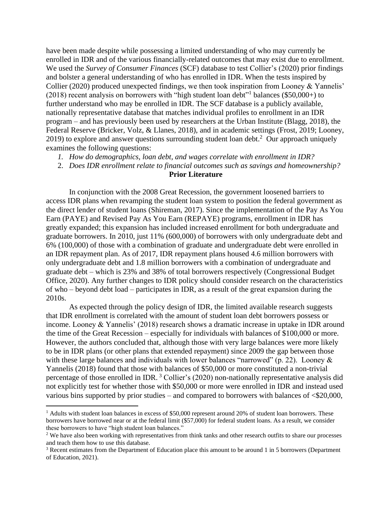have been made despite while possessing a limited understanding of who may currently be enrolled in IDR and of the various financially-related outcomes that may exist due to enrollment. We used the *Survey of Consumer Finances* (SCF) database to test Collier's (2020) prior findings and bolster a general understanding of who has enrolled in IDR. When the tests inspired by Collier (2020) produced unexpected findings, we then took inspiration from Looney & Yannelis' (2018) recent analysis on borrowers with "high student loan debt" 1 balances (\$50,000+) to further understand who may be enrolled in IDR. The SCF database is a publicly available, nationally representative database that matches individual profiles to enrollment in an IDR program – and has previously been used by researchers at the Urban Institute (Blagg, 2018), the Federal Reserve (Bricker, Volz, & Llanes, 2018), and in academic settings (Frost, 2019; Looney, 2019) to explore and answer questions surrounding student loan debt.<sup>2</sup> Our approach uniquely examines the following questions:

- *1. How do demographics, loan debt, and wages correlate with enrollment in IDR?*
- 2. *Does IDR enrollment relate to financial outcomes such as savings and homeownership?*

## **Prior Literature**

In conjunction with the 2008 Great Recession, the government loosened barriers to access IDR plans when revamping the student loan system to position the federal government as the direct lender of student loans (Shireman, 2017). Since the implementation of the Pay As You Earn (PAYE) and Revised Pay As You Earn (REPAYE) programs, enrollment in IDR has greatly expanded; this expansion has included increased enrollment for both undergraduate and graduate borrowers. In 2010, just 11% (600,000) of borrowers with only undergraduate debt and 6% (100,000) of those with a combination of graduate and undergraduate debt were enrolled in an IDR repayment plan. As of 2017, IDR repayment plans housed 4.6 million borrowers with only undergraduate debt and 1.8 million borrowers with a combination of undergraduate and graduate debt – which is 23% and 38% of total borrowers respectively (Congressional Budget Office, 2020). Any further changes to IDR policy should consider research on the characteristics of who – beyond debt load – participates in IDR, as a result of the great expansion during the 2010s.

As expected through the policy design of IDR, the limited available research suggests that IDR enrollment is correlated with the amount of student loan debt borrowers possess or income. Looney & Yannelis' (2018) research shows a dramatic increase in uptake in IDR around the time of the Great Recession – especially for individuals with balances of \$100,000 or more. However, the authors concluded that, although those with very large balances were more likely to be in IDR plans (or other plans that extended repayment) since 2009 the gap between those with these large balances and individuals with lower balances "narrowed" (p. 22). Looney & Yannelis (2018) found that those with balances of \$50,000 or more constituted a non-trivial percentage of those enrolled in IDR.<sup>3</sup> Collier's (2020) non-nationally representative analysis did not explicitly test for whether those with \$50,000 or more were enrolled in IDR and instead used various bins supported by prior studies – and compared to borrowers with balances of <\$20,000,

 $1$  Adults with student loan balances in excess of \$50,000 represent around 20% of student loan borrowers. These borrowers have borrowed near or at the federal limit (\$57,000) for federal student loans. As a result, we consider these borrowers to have "high student loan balances."

<sup>&</sup>lt;sup>2</sup> We have also been working with representatives from think tanks and other research outfits to share our processes and teach them how to use this database.

<sup>&</sup>lt;sup>3</sup> Recent estimates from the Department of Education place this amount to be around 1 in 5 borrowers (Department of Education, 2021).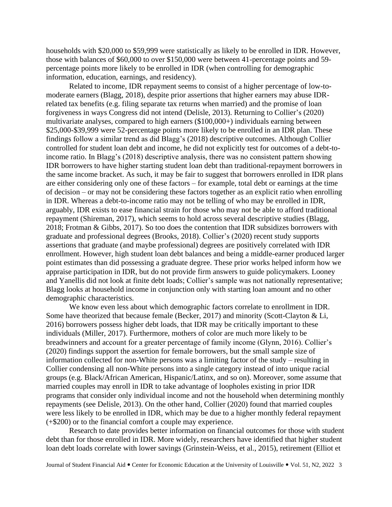households with \$20,000 to \$59,999 were statistically as likely to be enrolled in IDR. However, those with balances of \$60,000 to over \$150,000 were between 41-percentage points and 59 percentage points more likely to be enrolled in IDR (when controlling for demographic information, education, earnings, and residency).

Related to income, IDR repayment seems to consist of a higher percentage of low-tomoderate earners (Blagg, 2018), despite prior assertions that higher earners may abuse IDRrelated tax benefits (e.g. filing separate tax returns when married) and the promise of loan forgiveness in ways Congress did not intend (Delisle, 2013). Returning to Collier's (2020) multivariate analyses, compared to high earners (\$100,000+) individuals earning between \$25,000-\$39,999 were 52-percentage points more likely to be enrolled in an IDR plan. These findings follow a similar trend as did Blagg's (2018) descriptive outcomes. Although Collier controlled for student loan debt and income, he did not explicitly test for outcomes of a debt-toincome ratio. In Blagg's (2018) descriptive analysis, there was no consistent pattern showing IDR borrowers to have higher starting student loan debt than traditional-repayment borrowers in the same income bracket. As such, it may be fair to suggest that borrowers enrolled in IDR plans are either considering only one of these factors – for example, total debt or earnings at the time of decision – or may not be considering these factors together as an explicit ratio when enrolling in IDR. Whereas a debt-to-income ratio may not be telling of who may be enrolled in IDR, arguably, IDR exists to ease financial strain for those who may not be able to afford traditional repayment (Shireman, 2017), which seems to hold across several descriptive studies (Blagg, 2018; Frotman & Gibbs, 2017). So too does the contention that IDR subsidizes borrowers with graduate and professional degrees (Brooks, 2018). Collier's (2020) recent study supports assertions that graduate (and maybe professional) degrees are positively correlated with IDR enrollment. However, high student loan debt balances and being a middle-earner produced larger point estimates than did possessing a graduate degree. These prior works helped inform how we appraise participation in IDR, but do not provide firm answers to guide policymakers. Looney and Yanellis did not look at finite debt loads; Collier's sample was not nationally representative; Blagg looks at household income in conjunction only with starting loan amount and no other demographic characteristics.

We know even less about which demographic factors correlate to enrollment in IDR. Some have theorized that because female (Becker, 2017) and minority (Scott-Clayton & Li, 2016) borrowers possess higher debt loads, that IDR may be critically important to these individuals (Miller, 2017). Furthermore, mothers of color are much more likely to be breadwinners and account for a greater percentage of family income (Glynn, 2016). Collier's (2020) findings support the assertion for female borrowers, but the small sample size of information collected for non-White persons was a limiting factor of the study – resulting in Collier condensing all non-White persons into a single category instead of into unique racial groups (e.g. Black/African American, Hispanic/Latinx, and so on). Moreover, some assume that married couples may enroll in IDR to take advantage of loopholes existing in prior IDR programs that consider only individual income and not the household when determining monthly repayments (see Delisle, 2013). On the other hand, Collier (2020) found that married couples were less likely to be enrolled in IDR, which may be due to a higher monthly federal repayment (+\$200) or to the financial comfort a couple may experience.

Research to date provides better information on financial outcomes for those with student debt than for those enrolled in IDR. More widely, researchers have identified that higher student loan debt loads correlate with lower savings (Grinstein-Weiss, et al., 2015), retirement (Elliot et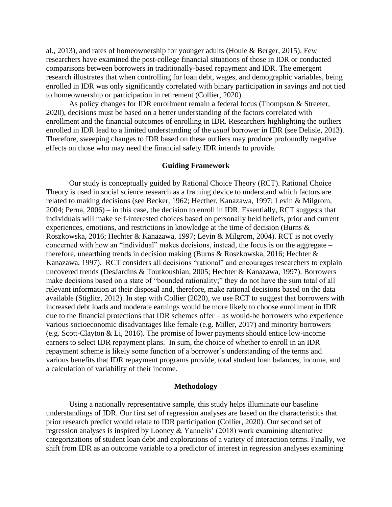al., 2013), and rates of homeownership for younger adults (Houle & Berger, 2015). Few researchers have examined the post-college financial situations of those in IDR or conducted comparisons between borrowers in traditionally-based repayment and IDR. The emergent research illustrates that when controlling for loan debt, wages, and demographic variables, being enrolled in IDR was only significantly correlated with binary participation in savings and not tied to homeownership or participation in retirement (Collier, 2020).

As policy changes for IDR enrollment remain a federal focus (Thompson & Streeter, 2020), decisions must be based on a better understanding of the factors correlated with enrollment and the financial outcomes of enrolling in IDR. Researchers highlighting the outliers enrolled in IDR lead to a limited understanding of the *usual* borrower in IDR (see Delisle, 2013). Therefore, sweeping changes to IDR based on these outliers may produce profoundly negative effects on those who may need the financial safety IDR intends to provide.

## **Guiding Framework**

Our study is conceptually guided by Rational Choice Theory (RCT). Rational Choice Theory is used in social science research as a framing device to understand which factors are related to making decisions (see Becker, 1962; Hecther, Kanazawa, 1997; Levin & Milgrom, 2004; Perna, 2006) – in this case, the decision to enroll in IDR. Essentially, RCT suggests that individuals will make self-interested choices based on personally held beliefs, prior and current experiences, emotions, and restrictions in knowledge at the time of decision (Burns & Roszkowska, 2016; Hechter & Kanazawa, 1997; Levin & Milgrom, 2004). RCT is not overly concerned with how an "individual" makes decisions, instead, the focus is on the aggregate – therefore, unearthing trends in decision making (Burns & Roszkowska, 2016; Hechter & Kanazawa, 1997). RCT considers all decisions "rational" and encourages researchers to explain uncovered trends (DesJardins & Toutkoushian, 2005; Hechter & Kanazawa, 1997). Borrowers make decisions based on a state of "bounded rationality;" they do not have the sum total of all relevant information at their disposal and, therefore, make rational decisions based on the data available (Stiglitz, 2012). In step with Collier (2020), we use RCT to suggest that borrowers with increased debt loads and moderate earnings would be more likely to choose enrollment in IDR due to the financial protections that IDR schemes offer – as would-be borrowers who experience various socioeconomic disadvantages like female (e.g. Miller, 2017) and minority borrowers (e.g. Scott-Clayton & Li, 2016). The promise of lower payments should entice low-income earners to select IDR repayment plans. In sum, the choice of whether to enroll in an IDR repayment scheme is likely some function of a borrower's understanding of the terms and various benefits that IDR repayment programs provide, total student loan balances, income, and a calculation of variability of their income.

## **Methodology**

Using a nationally representative sample, this study helps illuminate our baseline understandings of IDR. Our first set of regression analyses are based on the characteristics that prior research predict would relate to IDR participation (Collier, 2020). Our second set of regression analyses is inspired by Looney & Yannelis' (2018) work examining alternative categorizations of student loan debt and explorations of a variety of interaction terms. Finally, we shift from IDR as an outcome variable to a predictor of interest in regression analyses examining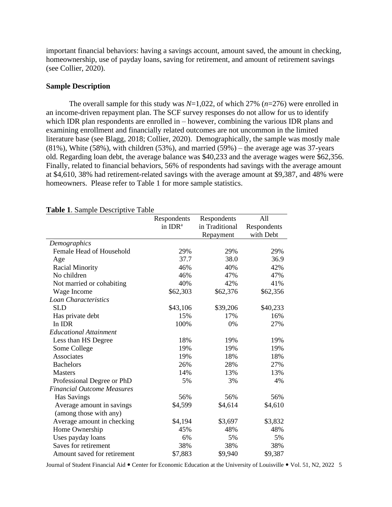important financial behaviors: having a savings account, amount saved, the amount in checking, homeownership, use of payday loans, saving for retirement, and amount of retirement savings (see Collier, 2020).

## **Sample Description**

The overall sample for this study was *N*=1,022, of which 27% (*n*=276) were enrolled in an income-driven repayment plan. The SCF survey responses do not allow for us to identify which IDR plan respondents are enrolled in – however, combining the various IDR plans and examining enrollment and financially related outcomes are not uncommon in the limited literature base (see Blagg, 2018; Collier, 2020). Demographically, the sample was mostly male  $(81\%)$ , White (58%), with children (53%), and married (59%) – the average age was 37-years old. Regarding loan debt, the average balance was \$40,233 and the average wages were \$62,356. Finally, related to financial behaviors, 56% of respondents had savings with the average amount at \$4,610, 38% had retirement-related savings with the average amount at \$9,387, and 48% were homeowners. Please refer to Table 1 for more sample statistics.

|                                   | Respondents         | Respondents    | All         |
|-----------------------------------|---------------------|----------------|-------------|
|                                   | in IDR <sup>a</sup> | in Traditional | Respondents |
|                                   |                     | Repayment      | with Debt   |
| Demographics                      |                     |                |             |
| Female Head of Household          | 29%                 | 29%            | 29%         |
| Age                               | 37.7                | 38.0           | 36.9        |
| <b>Racial Minority</b>            | 46%                 | 40%            | 42%         |
| No children                       | 46%                 | 47%            | 47%         |
| Not married or cohabiting         | 40%                 | 42%            | 41%         |
| Wage Income                       | \$62,303            | \$62,376       | \$62,356    |
| Loan Characteristics              |                     |                |             |
| <b>SLD</b>                        | \$43,106            | \$39,206       | \$40,233    |
| Has private debt                  | 15%                 | 17%            | 16%         |
| In IDR                            | 100%                | 0%             | 27%         |
| <b>Educational Attainment</b>     |                     |                |             |
| Less than HS Degree               | 18%                 | 19%            | 19%         |
| Some College                      | 19%                 | 19%            | 19%         |
| Associates                        | 19%                 | 18%            | 18%         |
| <b>Bachelors</b>                  | 26%                 | 28%            | 27%         |
| <b>Masters</b>                    | 14%                 | 13%            | 13%         |
| Professional Degree or PhD        | 5%                  | 3%             | 4%          |
| <b>Financial Outcome Measures</b> |                     |                |             |
| <b>Has Savings</b>                | 56%                 | 56%            | 56%         |
| Average amount in savings         | \$4,599             | \$4,614        | \$4,610     |
| (among those with any)            |                     |                |             |
| Average amount in checking        | \$4,194             | \$3,697        | \$3,832     |
| Home Ownership                    | 45%                 | 48%            | 48%         |
| Uses payday loans                 | 6%                  | 5%             | 5%          |
| Saves for retirement              | 38%                 | 38%            | 38%         |
| Amount saved for retirement       | \$7,883             | \$9,940        | \$9,387     |

## **Table 1**. Sample Descriptive Table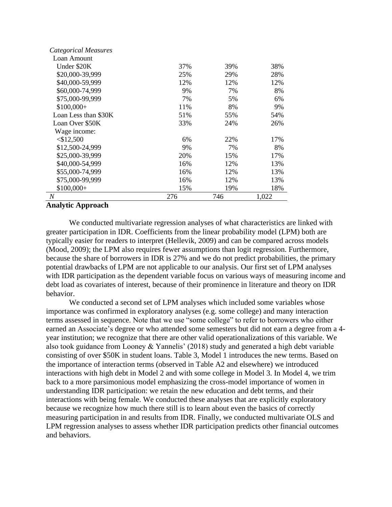| Categorical Measures |     |     |       |
|----------------------|-----|-----|-------|
| Loan Amount          |     |     |       |
| Under \$20K          | 37% | 39% | 38%   |
| \$20,000-39,999      | 25% | 29% | 28%   |
| \$40,000-59,999      | 12% | 12% | 12%   |
| \$60,000-74,999      | 9%  | 7%  | 8%    |
| \$75,000-99,999      | 7%  | 5%  | 6%    |
| $$100,000+$          | 11% | 8%  | 9%    |
| Loan Less than \$30K | 51% | 55% | 54%   |
| Loan Over \$50K      | 33% | 24% | 26%   |
| Wage income:         |     |     |       |
| $<$ \$12,500         | 6%  | 22% | 17%   |
| \$12,500-24,999      | 9%  | 7%  | 8%    |
| \$25,000-39,999      | 20% | 15% | 17%   |
| \$40,000-54,999      | 16% | 12% | 13%   |
| \$55,000-74,999      | 16% | 12% | 13%   |
| \$75,000-99,999      | 16% | 12% | 13%   |
| $$100,000+$          | 15% | 19% | 18%   |
| N                    | 276 | 746 | 1,022 |

## **Analytic Approach**

We conducted multivariate regression analyses of what characteristics are linked with greater participation in IDR. Coefficients from the linear probability model (LPM) both are typically easier for readers to interpret (Hellevik, 2009) and can be compared across models (Mood, 2009); the LPM also requires fewer assumptions than logit regression. Furthermore, because the share of borrowers in IDR is 27% and we do not predict probabilities, the primary potential drawbacks of LPM are not applicable to our analysis. Our first set of LPM analyses with IDR participation as the dependent variable focus on various ways of measuring income and debt load as covariates of interest, because of their prominence in literature and theory on IDR behavior.

We conducted a second set of LPM analyses which included some variables whose importance was confirmed in exploratory analyses (e.g. some college) and many interaction terms assessed in sequence. Note that we use "some college" to refer to borrowers who either earned an Associate's degree or who attended some semesters but did not earn a degree from a 4 year institution; we recognize that there are other valid operationalizations of this variable. We also took guidance from Looney & Yannelis' (2018) study and generated a high debt variable consisting of over \$50K in student loans. Table 3, Model 1 introduces the new terms. Based on the importance of interaction terms (observed in Table A2 and elsewhere) we introduced interactions with high debt in Model 2 and with some college in Model 3. In Model 4, we trim back to a more parsimonious model emphasizing the cross-model importance of women in understanding IDR participation: we retain the new education and debt terms, and their interactions with being female. We conducted these analyses that are explicitly exploratory because we recognize how much there still is to learn about even the basics of correctly measuring participation in and results from IDR. Finally, we conducted multivariate OLS and LPM regression analyses to assess whether IDR participation predicts other financial outcomes and behaviors.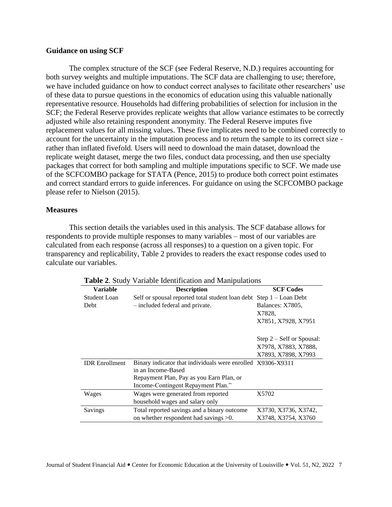## **Guidance on using SCF**

The complex structure of the SCF (see Federal Reserve, N.D.) requires accounting for both survey weights and multiple imputations. The SCF data are challenging to use; therefore, we have included guidance on how to conduct correct analyses to facilitate other researchers' use of these data to pursue questions in the economics of education using this valuable nationally representative resource. Households had differing probabilities of selection for inclusion in the SCF; the Federal Reserve provides replicate weights that allow variance estimates to be correctly adjusted while also retaining respondent anonymity. The Federal Reserve imputes five replacement values for all missing values. These five implicates need to be combined correctly to account for the uncertainty in the imputation process and to return the sample to its correct size rather than inflated fivefold. Users will need to download the main dataset, download the replicate weight dataset, merge the two files, conduct data processing, and then use specialty packages that correct for both sampling and multiple imputations specific to SCF. We made use of the SCFCOMBO package for STATA (Pence, 2015) to produce both correct point estimates and correct standard errors to guide inferences. For guidance on using the SCFCOMBO package please refer to Nielson (2015).

## **Measures**

This section details the variables used in this analysis. The SCF database allows for respondents to provide multiple responses to many variables – most of our variables are calculated from each response (across all responses) to a question on a given topic. For transparency and replicability, Table 2 provides to readers the exact response codes used to calculate our variables.

|                       | <b>Table 2.</b> Didgy variable recitationally and mainparations |                             |  |  |  |  |
|-----------------------|-----------------------------------------------------------------|-----------------------------|--|--|--|--|
| <b>Variable</b>       | <b>Description</b>                                              | <b>SCF Codes</b>            |  |  |  |  |
| <b>Student Loan</b>   | Self or spousal reported total student loan debt                | $Step 1 - Loan Deb$         |  |  |  |  |
| Debt                  | - included federal and private.                                 | Balances: X7805.            |  |  |  |  |
|                       |                                                                 | X7828.                      |  |  |  |  |
|                       |                                                                 | X7851, X7928, X7951         |  |  |  |  |
|                       |                                                                 |                             |  |  |  |  |
|                       |                                                                 | $Step 2 - Self$ or Spousal: |  |  |  |  |
|                       |                                                                 | X7978, X7883, X7888,        |  |  |  |  |
|                       |                                                                 | X7893, X7898, X7993         |  |  |  |  |
| <b>IDR</b> Enrollment | Binary indicator that individuals were enrolled X9306-X9311     |                             |  |  |  |  |
|                       | in an Income-Based                                              |                             |  |  |  |  |
|                       | Repayment Plan, Pay as you Earn Plan, or                        |                             |  |  |  |  |
|                       | Income-Contingent Repayment Plan."                              |                             |  |  |  |  |
| Wages                 | Wages were generated from reported                              | X5702                       |  |  |  |  |
|                       | household wages and salary only                                 |                             |  |  |  |  |
| Savings               | Total reported savings and a binary outcome                     | X3730, X3736, X3742,        |  |  |  |  |
|                       | on whether respondent had savings $>0$ .                        | X3748, X3754, X3760         |  |  |  |  |

**Table 2**. Study Variable Identification and Manipulations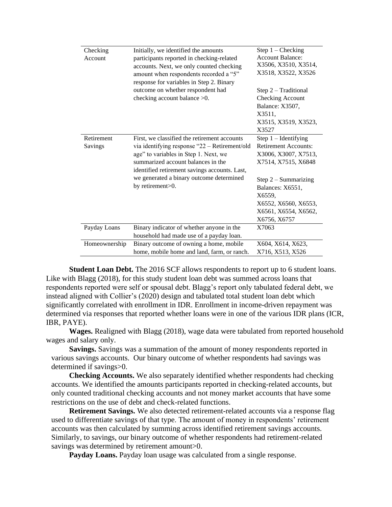| Checking<br>Account   | Initially, we identified the amounts<br>participants reported in checking-related<br>accounts. Next, we only counted checking<br>amount when respondents recorded a "5"<br>response for variables in Step 2. Binary                                                                           | Step $1$ – Checking<br><b>Account Balance:</b><br>X3506, X3510, X3514,<br>X3518, X3522, X3526                                                                                                                                |
|-----------------------|-----------------------------------------------------------------------------------------------------------------------------------------------------------------------------------------------------------------------------------------------------------------------------------------------|------------------------------------------------------------------------------------------------------------------------------------------------------------------------------------------------------------------------------|
|                       | outcome on whether respondent had<br>checking account balance $>0$ .                                                                                                                                                                                                                          | Step 2 - Traditional<br>Checking Account<br>Balance: X3507,<br>X3511.<br>X3515, X3519, X3523,<br>X3527                                                                                                                       |
| Retirement<br>Savings | First, we classified the retirement accounts<br>via identifying response "22 - Retirement/old<br>age" to variables in Step 1. Next, we<br>summarized account balances in the<br>identified retirement savings accounts. Last,<br>we generated a binary outcome determined<br>by retirement>0. | Step $1$ – Identifying<br><b>Retirement Accounts:</b><br>X3006, X3007, X7513,<br>X7514, X7515, X6848<br>Step $2$ – Summarizing<br>Balances: X6551,<br>X6559,<br>X6552, X6560, X6553,<br>X6561, X6554, X6562,<br>X6756, X6757 |
| Payday Loans          | Binary indicator of whether anyone in the<br>household had made use of a payday loan.                                                                                                                                                                                                         | X7063                                                                                                                                                                                                                        |
| Homeownership         | Binary outcome of owning a home, mobile<br>home, mobile home and land, farm, or ranch.                                                                                                                                                                                                        | X604, X614, X623,<br>X716, X513, X526                                                                                                                                                                                        |

**Student Loan Debt.** The 2016 SCF allows respondents to report up to 6 student loans. Like with Blagg (2018), for this study student loan debt was summed across loans that respondents reported were self or spousal debt. Blagg's report only tabulated federal debt, we instead aligned with Collier's (2020) design and tabulated total student loan debt which significantly correlated with enrollment in IDR. Enrollment in income-driven repayment was determined via responses that reported whether loans were in one of the various IDR plans (ICR, IBR, PAYE).

**Wages.** Realigned with Blagg (2018), wage data were tabulated from reported household wages and salary only.

**Savings.** Savings was a summation of the amount of money respondents reported in various savings accounts. Our binary outcome of whether respondents had savings was determined if savings>0.

**Checking Accounts.** We also separately identified whether respondents had checking accounts. We identified the amounts participants reported in checking-related accounts, but only counted traditional checking accounts and not money market accounts that have some restrictions on the use of debt and check-related functions.

**Retirement Savings.** We also detected retirement-related accounts via a response flag used to differentiate savings of that type. The amount of money in respondents' retirement accounts was then calculated by summing across identified retirement savings accounts. Similarly, to savings, our binary outcome of whether respondents had retirement-related savings was determined by retirement amount > 0.

**Payday Loans.** Payday loan usage was calculated from a single response.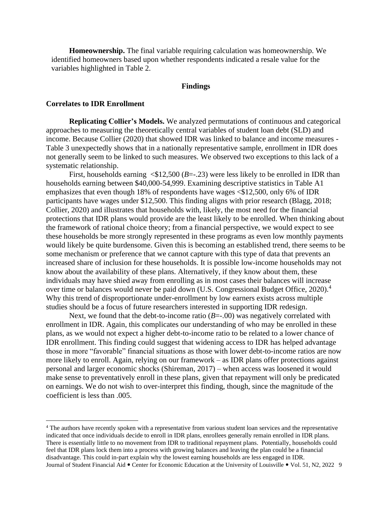**Homeownership.** The final variable requiring calculation was homeownership. We identified homeowners based upon whether respondents indicated a resale value for the variables highlighted in Table 2.

#### **Findings**

### **Correlates to IDR Enrollment**

**Replicating Collier's Models.** We analyzed permutations of continuous and categorical approaches to measuring the theoretically central variables of student loan debt (SLD) and income. Because Collier (2020) that showed IDR was linked to balance and income measures - Table 3 unexpectedly shows that in a nationally representative sample, enrollment in IDR does not generally seem to be linked to such measures. We observed two exceptions to this lack of a systematic relationship.

First, households earning  $\langle $12,500 \ (B=-.23) \ \text{were}$  less likely to be enrolled in IDR than households earning between \$40,000-54,999. Examining descriptive statistics in Table A1 emphasizes that even though 18% of respondents have wages  $\langle $12,500, \text{ only } 6\% \text{ of IDR} \rangle$ participants have wages under \$12,500. This finding aligns with prior research (Blagg, 2018; Collier, 2020) and illustrates that households with, likely, the most need for the financial protections that IDR plans would provide are the least likely to be enrolled. When thinking about the framework of rational choice theory; from a financial perspective, we would expect to see these households be more strongly represented in these programs as even low monthly payments would likely be quite burdensome. Given this is becoming an established trend, there seems to be some mechanism or preference that we cannot capture with this type of data that prevents an increased share of inclusion for these households. It is possible low-income households may not know about the availability of these plans. Alternatively, if they know about them, these individuals may have shied away from enrolling as in most cases their balances will increase over time or balances would never be paid down (U.S. Congressional Budget Office,  $2020$ ).<sup>4</sup> Why this trend of disproportionate under-enrollment by low earners exists across multiple studies should be a focus of future researchers interested in supporting IDR redesign.

Next, we found that the debt-to-income ratio  $(B=-.00)$  was negatively correlated with enrollment in IDR. Again, this complicates our understanding of who may be enrolled in these plans, as we would not expect a higher debt-to-income ratio to be related to a lower chance of IDR enrollment. This finding could suggest that widening access to IDR has helped advantage those in more "favorable" financial situations as those with lower debt-to-income ratios are now more likely to enroll. Again, relying on our framework – as IDR plans offer protections against personal and larger economic shocks (Shireman, 2017) – when access was loosened it would make sense to preventatively enroll in these plans, given that repayment will only be predicated on earnings. We do not wish to over-interpret this finding, though, since the magnitude of the coefficient is less than .005.

Journal of Student Financial Aid • Center for Economic Education at the University of Louisville • Vol. 51, N2, 2022 9 <sup>4</sup> The authors have recently spoken with a representative from various student loan services and the representative indicated that once individuals decide to enroll in IDR plans, enrollees generally remain enrolled in IDR plans. There is essentially little to no movement from IDR to traditional repayment plans. Potentially, households could feel that IDR plans lock them into a process with growing balances and leaving the plan could be a financial disadvantage. This could in-part explain why the lowest earning households are less engaged in IDR.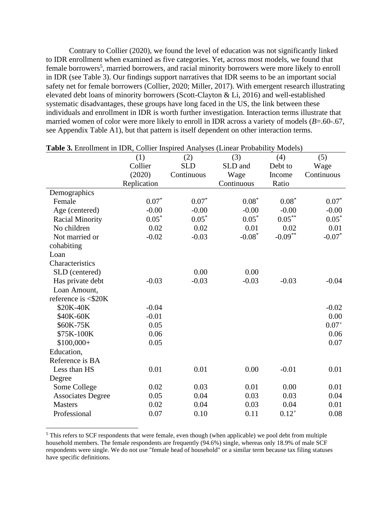Contrary to Collier (2020), we found the level of education was not significantly linked to IDR enrollment when examined as five categories. Yet, across most models, we found that female borrowers<sup>5</sup>, married borrowers, and racial minority borrowers were more likely to enroll in IDR (see Table 3). Our findings support narratives that IDR seems to be an important social safety net for female borrowers (Collier, 2020; Miller, 2017). With emergent research illustrating elevated debt loans of minority borrowers (Scott-Clayton & Li, 2016) and well-established systematic disadvantages, these groups have long faced in the US, the link between these individuals and enrollment in IDR is worth further investigation. Interaction terms illustrate that married women of color were more likely to enroll in IDR across a variety of models (*B*=.60-.67, see Appendix Table A1), but that pattern is itself dependent on other interaction terms.

|                          | (1)         | (2)        | (3)        | (4)               | (5)        |
|--------------------------|-------------|------------|------------|-------------------|------------|
|                          | Collier     | <b>SLD</b> | SLD and    | Debt to           | Wage       |
|                          | (2020)      | Continuous | Wage       | Income            | Continuous |
|                          | Replication |            | Continuous | Ratio             |            |
| Demographics             |             |            |            |                   |            |
| Female                   | $0.07*$     | $0.07*$    | $0.08*$    | $0.08*$           | $0.07*$    |
| Age (centered)           | $-0.00$     | $-0.00$    | $-0.00$    | $-0.00$           | $-0.00$    |
| <b>Racial Minority</b>   | $0.05*$     | $0.05*$    | $0.05*$    | $0.05^{\ast\ast}$ | $0.05*$    |
| No children              | 0.02        | 0.02       | 0.01       | 0.02              | 0.01       |
| Not married or           | $-0.02$     | $-0.03$    | $-0.08*$   | $-0.09***$        | $-0.07*$   |
| cohabiting               |             |            |            |                   |            |
| Loan                     |             |            |            |                   |            |
| Characteristics          |             |            |            |                   |            |
| SLD (centered)           |             | 0.00       | 0.00       |                   |            |
| Has private debt         | $-0.03$     | $-0.03$    | $-0.03$    | $-0.03$           | $-0.04$    |
| Loan Amount,             |             |            |            |                   |            |
| reference is $<$ \$20K   |             |            |            |                   |            |
| \$20K-40K                | $-0.04$     |            |            |                   | $-0.02$    |
| \$40K-60K                | $-0.01$     |            |            |                   | 0.00       |
| \$60K-75K                | 0.05        |            |            |                   | $0.07^{+}$ |
| \$75K-100K               | 0.06        |            |            |                   | 0.06       |
| $$100,000+$              | 0.05        |            |            |                   | 0.07       |
| Education,               |             |            |            |                   |            |
| Reference is BA          |             |            |            |                   |            |
| Less than HS             | 0.01        | 0.01       | 0.00       | $-0.01$           | 0.01       |
| Degree                   |             |            |            |                   |            |
| Some College             | 0.02        | 0.03       | 0.01       | 0.00              | 0.01       |
| <b>Associates Degree</b> | 0.05        | 0.04       | 0.03       | 0.03              | 0.04       |
| <b>Masters</b>           | 0.02        | 0.04       | 0.03       | 0.04              | 0.01       |
| Professional             | 0.07        | 0.10       | 0.11       | $0.12^{+}$        | 0.08       |

| <b>Table 3.</b> Enrollment in IDR, Collier Inspired Analyses (Linear Probability Models) |  |  |  |
|------------------------------------------------------------------------------------------|--|--|--|
|------------------------------------------------------------------------------------------|--|--|--|

<sup>&</sup>lt;sup>5</sup> This refers to SCF respondents that were female, even though (when applicable) we pool debt from multiple household members. The female respondents are frequently (94.6%) single, whereas only 18.9% of male SCF respondents were single. We do not use "female head of household" or a similar term because tax filing statuses have specific definitions.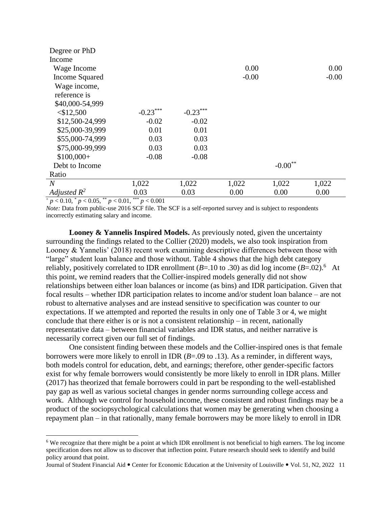| Degree or PhD   |            |            |         |                       |         |
|-----------------|------------|------------|---------|-----------------------|---------|
| Income          |            |            |         |                       |         |
| Wage Income     |            |            | 0.00    |                       | 0.00    |
| Income Squared  |            |            | $-0.00$ |                       | $-0.00$ |
| Wage income,    |            |            |         |                       |         |
| reference is    |            |            |         |                       |         |
| \$40,000-54,999 |            |            |         |                       |         |
| $<$ \$12,500    | $-0.23***$ | $-0.23***$ |         |                       |         |
| \$12,500-24,999 | $-0.02$    | $-0.02$    |         |                       |         |
| \$25,000-39,999 | 0.01       | 0.01       |         |                       |         |
| \$55,000-74,999 | 0.03       | 0.03       |         |                       |         |
| \$75,000-99,999 | 0.03       | 0.03       |         |                       |         |
| $$100,000+$     | $-0.08$    | $-0.08$    |         |                       |         |
| Debt to Income  |            |            |         | $-0.00$ <sup>**</sup> |         |
| Ratio           |            |            |         |                       |         |
| $\overline{N}$  | 1,022      | 1,022      | 1,022   | 1,022                 | 1,022   |
| Adjusted $R^2$  | 0.03       | 0.03       | 0.00    | 0.00                  | 0.00    |

 $+p < 0.10, p < 0.05, p < 0.01, p < 0.001$ 

*Note:* Data from public-use 2016 SCF file. The SCF is a self-reported survey and is subject to respondents incorrectly estimating salary and income.

**Looney & Yannelis Inspired Models.** As previously noted, given the uncertainty surrounding the findings related to the Collier (2020) models, we also took inspiration from Looney & Yannelis' (2018) recent work examining descriptive differences between those with "large" student loan balance and those without. Table 4 shows that the high debt category reliably, positively correlated to IDR enrollment ( $B=10$  to .30) as did log income ( $B=.02$ ).<sup>6</sup> At this point, we remind readers that the Collier-inspired models generally did not show relationships between either loan balances or income (as bins) and IDR participation. Given that focal results – whether IDR participation relates to income and/or student loan balance – are not robust to alternative analyses and are instead sensitive to specification was counter to our expectations. If we attempted and reported the results in only one of Table 3 or 4, we might conclude that there either is or is not a consistent relationship – in recent, nationally representative data – between financial variables and IDR status, and neither narrative is necessarily correct given our full set of findings.

One consistent finding between these models and the Collier-inspired ones is that female borrowers were more likely to enroll in IDR (*B*=.09 to .13). As a reminder, in different ways, both models control for education, debt, and earnings; therefore, other gender-specific factors exist for why female borrowers would consistently be more likely to enroll in IDR plans. Miller (2017) has theorized that female borrowers could in part be responding to the well-established pay gap as well as various societal changes in gender norms surrounding college access and work. Although we control for household income, these consistent and robust findings may be a product of the sociopsychological calculations that women may be generating when choosing a repayment plan – in that rationally, many female borrowers may be more likely to enroll in IDR

<sup>6</sup> We recognize that there might be a point at which IDR enrollment is not beneficial to high earners. The log income specification does not allow us to discover that inflection point. Future research should seek to identify and build policy around that point.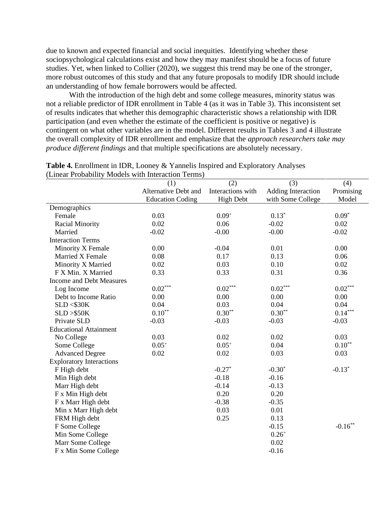due to known and expected financial and social inequities. Identifying whether these sociopsychological calculations exist and how they may manifest should be a focus of future studies. Yet, when linked to Collier (2020), we suggest this trend may be one of the stronger, more robust outcomes of this study and that any future proposals to modify IDR should include an understanding of how female borrowers would be affected.

With the introduction of the high debt and some college measures, minority status was not a reliable predictor of IDR enrollment in Table 4 (as it was in Table 3). This inconsistent set of results indicates that whether this demographic characteristic shows a relationship with IDR participation (and even whether the estimate of the coefficient is positive or negative) is contingent on what other variables are in the model. Different results in Tables 3 and 4 illustrate the overall complexity of IDR enrollment and emphasize that the *approach researchers take may produce different findings* and that multiple specifications are absolutely necessary.

| minua i robubliit               | <b><i>INFOCULTE WELLET ENTERTAINMENT L'OLITIES</i></b><br>(1) | (2)                   | (3)                | (4)        |
|---------------------------------|---------------------------------------------------------------|-----------------------|--------------------|------------|
|                                 | Alternative Debt and                                          | Interactions with     | Adding Interaction | Promising  |
|                                 | <b>Education Coding</b>                                       | <b>High Debt</b>      | with Some College  | Model      |
| Demographics                    |                                                               |                       |                    |            |
| Female                          | 0.03                                                          | $0.09^{+}$            | $0.13*$            | $0.09*$    |
| <b>Racial Minority</b>          | 0.02                                                          | 0.06                  | $-0.02$            | 0.02       |
| Married                         | $-0.02$                                                       | $-0.00$               | $-0.00$            | $-0.02$    |
| <b>Interaction Terms</b>        |                                                               |                       |                    |            |
| Minority X Female               | 0.00                                                          | $-0.04$               | 0.01               | 0.00       |
| Married X Female                | 0.08                                                          | 0.17                  | 0.13               | 0.06       |
| Minority X Married              | 0.02                                                          | 0.03                  | 0.10               | 0.02       |
| F X Min. X Married              | 0.33                                                          | 0.33                  | 0.31               | 0.36       |
| <b>Income and Debt Measures</b> |                                                               |                       |                    |            |
| Log Income                      | $0.02^{\ast\ast\ast}$                                         | $0.02^{\ast\ast\ast}$ | $0.02***$          | $0.02***$  |
| Debt to Income Ratio            | 0.00                                                          | 0.00                  | 0.00               | 0.00       |
| SLD < \$30K                     | 0.04                                                          | 0.03                  | 0.04               | 0.04       |
| SLD > \$50K                     | $0.10**$                                                      | $0.30**$              | $0.30**$           | $0.14***$  |
| Private SLD                     | $-0.03$                                                       | $-0.03$               | $-0.03$            | $-0.03$    |
| <b>Educational Attainment</b>   |                                                               |                       |                    |            |
| No College                      | 0.03                                                          | 0.02                  | 0.02               | 0.03       |
| Some College                    | $0.05^{+}$                                                    | $0.05^{+}$            | 0.04               | $0.10**$   |
| <b>Advanced Degree</b>          | 0.02                                                          | 0.02                  | 0.03               | 0.03       |
| <b>Exploratory Interactions</b> |                                                               |                       |                    |            |
| F High debt                     |                                                               | $-0.27*$              | $-0.30*$           | $-0.13*$   |
| Min High debt                   |                                                               | $-0.18$               | $-0.16$            |            |
| Marr High debt                  |                                                               | $-0.14$               | $-0.13$            |            |
| F x Min High debt               |                                                               | 0.20                  | 0.20               |            |
| F x Marr High debt              |                                                               | $-0.38$               | $-0.35$            |            |
| Min x Marr High debt            |                                                               | 0.03                  | 0.01               |            |
| FRM High debt                   |                                                               | 0.25                  | 0.13               |            |
| F Some College                  |                                                               |                       | $-0.15$            | $-0.16***$ |
| Min Some College                |                                                               |                       | $0.26^{+}$         |            |
| Marr Some College               |                                                               |                       | 0.02               |            |
| F x Min Some College            |                                                               |                       | $-0.16$            |            |

**Table 4.** Enrollment in IDR, Looney & Yannelis Inspired and Exploratory Analyses (Linear Probability Models with Interaction Terms)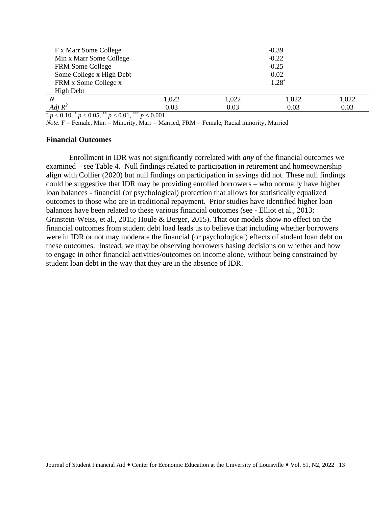| F x Marr Some College              |       |       | $-0.39$ |       |
|------------------------------------|-------|-------|---------|-------|
| Min x Marr Some College            |       |       | $-0.22$ |       |
| <b>FRM Some College</b>            |       |       | $-0.25$ |       |
| Some College x High Debt           |       |       | 0.02    |       |
| FRM x Some College x               |       |       | $1.28*$ |       |
| High Debt                          |       |       |         |       |
| N                                  | 1,022 | 1,022 | 1,022   | 1,022 |
| Adj $R^2$<br>المتعملة المسابق<br>. | 0.03  | 0.03  | 0.03    | 0.03  |

<sup>+</sup> *p* < 0.10, \* *p* < 0.05, \*\* *p* < 0.01, \*\*\* *p* < 0.001

*Note.* F = Female, Min. = Minority, Marr = Married, FRM = Female, Racial minority, Married

### **Financial Outcomes**

Enrollment in IDR was not significantly correlated with *any* of the financial outcomes we examined – see Table 4. Null findings related to participation in retirement and homeownership align with Collier (2020) but null findings on participation in savings did not. These null findings could be suggestive that IDR may be providing enrolled borrowers – who normally have higher loan balances - financial (or psychological) protection that allows for statistically equalized outcomes to those who are in traditional repayment. Prior studies have identified higher loan balances have been related to these various financial outcomes (see - Elliot et al., 2013; Grinstein-Weiss, et al., 2015; Houle & Berger, 2015). That our models show no effect on the financial outcomes from student debt load leads us to believe that including whether borrowers were in IDR or not may moderate the financial (or psychological) effects of student loan debt on these outcomes. Instead, we may be observing borrowers basing decisions on whether and how to engage in other financial activities/outcomes on income alone, without being constrained by student loan debt in the way that they are in the absence of IDR.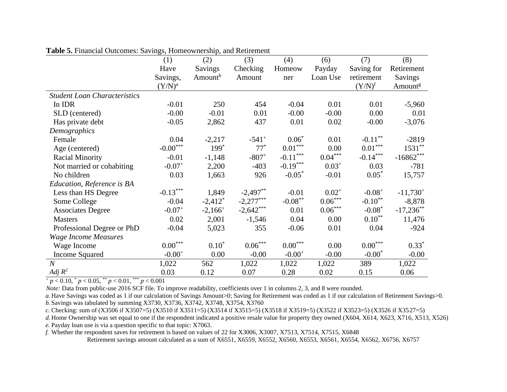|                                     | (1)                        | (2)                 | (3)                 | (4)                   | (6)                | (7)                   | (8)                 |
|-------------------------------------|----------------------------|---------------------|---------------------|-----------------------|--------------------|-----------------------|---------------------|
|                                     | Have                       | Savings             | Checking            | Homeow                | Payday             | Saving for            | Retirement          |
|                                     | Savings,                   | Amount <sup>b</sup> | Amount              | ner                   | Loan Use           | retirement            | Savings             |
|                                     | $(Y/N)^a$                  |                     |                     |                       |                    | $(Y/N)^f$             | Amount <sup>g</sup> |
| <b>Student Loan Characteristics</b> |                            |                     |                     |                       |                    |                       |                     |
| In IDR                              | $-0.01$                    | 250                 | 454                 | $-0.04$               | 0.01               | 0.01                  | $-5,960$            |
| SLD (centered)                      | $-0.00$                    | $-0.01$             | 0.01                | $-0.00$               | $-0.00$            | 0.00                  | 0.01                |
| Has private debt                    | $-0.05$                    | 2,862               | 437                 | 0.01                  | 0.02               | $-0.00$               | $-3,076$            |
| Demographics                        |                            |                     |                     |                       |                    |                       |                     |
| Female                              | 0.04                       | $-2,217$            | $-541$ <sup>+</sup> | $0.06*$               | 0.01               | $-0.11***$            | $-2819$             |
| Age (centered)                      | $\textnormal{-0.00}^{***}$ | $199*$              | $77*$               | $0.01^{\ast\ast\ast}$ | 0.00               | $0.01***$             | $1531***$           |
| <b>Racial Minority</b>              | $-0.01$                    | $-1,148$            | $-807+$             | $-0.11***$            | $0.04***$          | $-0.14***$            | $-16862***$         |
| Not married or cohabiting           | $-0.07$ <sup>+</sup>       | 2,200               | $-403$              | $-0.19***$            | $0.03^{+}$         | 0.03                  | $-781$              |
| No children                         | 0.03                       | 1,663               | 926                 | $-0.05$ <sup>*</sup>  | $-0.01$            | $0.05^*$              | 15,757              |
| Education, Reference is BA          |                            |                     |                     |                       |                    |                       |                     |
| Less than HS Degree                 | $-0.13***$                 | 1,849               | $-2,497***$         | $-0.01$               | $0.02^{+}$         | $-0.08^{+}$           | $-11,730^{+}$       |
| Some College                        | $-0.04$                    | $-2,412^*$          | $-2,277***$         | $-0.08***$            | $0.06***$          | $-0.10**$             | $-8,878$            |
| <b>Associates Degree</b>            | $-0.07$ <sup>+</sup>       | $-2,166^+$          | $-2,642***$         | 0.01                  | $0.06\sp{*}^{***}$ | $-0.08*$              | $-17,236***$        |
| <b>Masters</b>                      | 0.02                       | 2,001               | $-1,546$            | 0.04                  | 0.00               | $0.10^{**}$           | 11,476              |
| Professional Degree or PhD          | $-0.04$                    | 5,023               | 355                 | $-0.06$               | 0.01               | 0.04                  | $-924$              |
| <b>Wage Income Measures</b>         |                            |                     |                     |                       |                    |                       |                     |
| Wage Income                         | $0.00^{***}$               | $0.10*$             | $0.06\sp{*}^{***}$  | $0.00^{\ast\ast\ast}$ | 0.00               | $0.00^{\ast\ast\ast}$ | $0.33*$             |
| <b>Income Squared</b>               | $-0.00^{+}$                | 0.00                | $-0.00$             | $-0.00^{+}$           | $-0.00$            | $-0.00*$              | $-0.00$             |
| $\overline{N}$                      | 1,022                      | 562                 | 1,022               | 1,022                 | 1,022              | 389                   | 1,022               |
| Adj $R^2$                           | 0.03                       | 0.12                | 0.07                | 0.28                  | 0.02               | 0.15                  | 0.06                |

**Table 5.** Financial Outcomes: Savings, Homeownership, and Retirement

 $+p < 0.10$ ,  $^{*} p < 0.05$ ,  $^{**} p < 0.01$ ,  $^{***} p < 0.001$ 

*Note:* Data from public-use 2016 SCF file. To improve readability, coefficients over 1 in columns 2, 3, and 8 were rounded.

*a.* Have Savings was coded as 1 if our calculation of Savings Amount>0; Saving for Retirement was coded as 1 if our calculation of Retirement Savings>0. *b.* Savings was tabulated by summing X3730, X3736, X3742, X3748, X3754, X3760

*c.* Checking: sum of (X3506 if X3507=5) (X3510 if X3511=5) (X3514 if X3515=5) (X3518 if X3519=5) (X3522 if X3523=5) (X3526 if X3527=5)

*d.* Home Ownership was set equal to one if the respondent indicated a positive resale value for property they owned (X604, X614, X623, X716, X513, X526)

*e.* Payday loan use is via a question specific to that topic: X7063.

*f.* Whether the respondent saves for retirement is based on values of 22 for X3006, X3007, X7513, X7514, X7515, X6848

Retirement savings amount calculated as a sum of X6551, X6559, X6552, X6560, X6553, X6561, X6554, X6562, X6756, X6757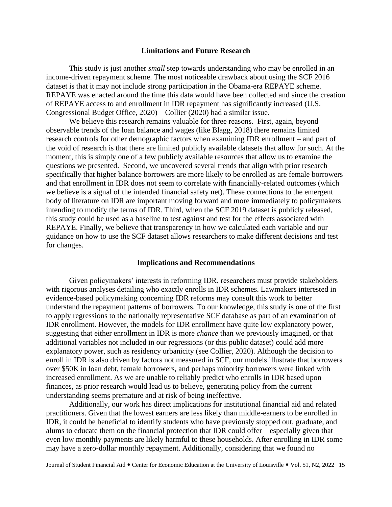### **Limitations and Future Research**

This study is just another *small* step towards understanding who may be enrolled in an income-driven repayment scheme. The most noticeable drawback about using the SCF 2016 dataset is that it may not include strong participation in the Obama-era REPAYE scheme. REPAYE was enacted around the time this data would have been collected and since the creation of REPAYE access to and enrollment in IDR repayment has significantly increased (U.S. Congressional Budget Office, 2020) – Collier (2020) had a similar issue.

We believe this research remains valuable for three reasons. First, again, beyond observable trends of the loan balance and wages (like Blagg, 2018) there remains limited research controls for other demographic factors when examining IDR enrollment – and part of the void of research is that there are limited publicly available datasets that allow for such. At the moment, this is simply one of a few publicly available resources that allow us to examine the questions we presented. Second, we uncovered several trends that align with prior research – specifically that higher balance borrowers are more likely to be enrolled as are female borrowers and that enrollment in IDR does not seem to correlate with financially-related outcomes (which we believe is a signal of the intended financial safety net). These connections to the emergent body of literature on IDR are important moving forward and more immediately to policymakers intending to modify the terms of IDR. Third, when the SCF 2019 dataset is publicly released, this study could be used as a baseline to test against and test for the effects associated with REPAYE. Finally, we believe that transparency in how we calculated each variable and our guidance on how to use the SCF dataset allows researchers to make different decisions and test for changes.

#### **Implications and Recommendations**

Given policymakers' interests in reforming IDR, researchers must provide stakeholders with rigorous analyses detailing who exactly enrolls in IDR schemes. Lawmakers interested in evidence-based policymaking concerning IDR reforms may consult this work to better understand the repayment patterns of borrowers. To our knowledge, this study is one of the first to apply regressions to the nationally representative SCF database as part of an examination of IDR enrollment. However, the models for IDR enrollment have quite low explanatory power, suggesting that either enrollment in IDR is more *chance* than we previously imagined, or that additional variables not included in our regressions (or this public dataset) could add more explanatory power, such as residency urbanicity (see Collier, 2020). Although the decision to enroll in IDR is also driven by factors not measured in SCF, our models illustrate that borrowers over \$50K in loan debt, female borrowers, and perhaps minority borrowers were linked with increased enrollment. As we are unable to reliably predict who enrolls in IDR based upon finances, as prior research would lead us to believe, generating policy from the current understanding seems premature and at risk of being ineffective.

Additionally, our work has direct implications for institutional financial aid and related practitioners. Given that the lowest earners are less likely than middle-earners to be enrolled in IDR, it could be beneficial to identify students who have previously stopped out, graduate, and alums to educate them on the financial protection that IDR could offer – especially given that even low monthly payments are likely harmful to these households. After enrolling in IDR some may have a zero-dollar monthly repayment. Additionally, considering that we found no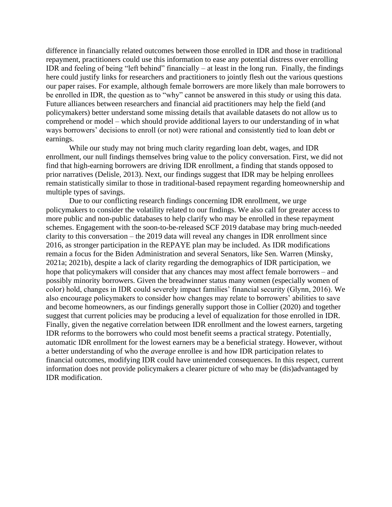difference in financially related outcomes between those enrolled in IDR and those in traditional repayment, practitioners could use this information to ease any potential distress over enrolling IDR and feeling of being "left behind" financially – at least in the long run. Finally, the findings here could justify links for researchers and practitioners to jointly flesh out the various questions our paper raises. For example, although female borrowers are more likely than male borrowers to be enrolled in IDR, the question as to "why" cannot be answered in this study or using this data. Future alliances between researchers and financial aid practitioners may help the field (and policymakers) better understand some missing details that available datasets do not allow us to comprehend or model – which should provide additional layers to our understanding of in what ways borrowers' decisions to enroll (or not) were rational and consistently tied to loan debt or earnings.

While our study may not bring much clarity regarding loan debt, wages, and IDR enrollment, our null findings themselves bring value to the policy conversation. First, we did not find that high-earning borrowers are driving IDR enrollment, a finding that stands opposed to prior narratives (Delisle, 2013). Next, our findings suggest that IDR may be helping enrollees remain statistically similar to those in traditional-based repayment regarding homeownership and multiple types of savings.

Due to our conflicting research findings concerning IDR enrollment, we urge policymakers to consider the volatility related to our findings. We also call for greater access to more public and non-public databases to help clarify who may be enrolled in these repayment schemes. Engagement with the soon-to-be-released SCF 2019 database may bring much-needed clarity to this conversation – the 2019 data will reveal any changes in IDR enrollment since 2016, as stronger participation in the REPAYE plan may be included. As IDR modifications remain a focus for the Biden Administration and several Senators, like Sen. Warren (Minsky, 2021a; 2021b), despite a lack of clarity regarding the demographics of IDR participation, we hope that policymakers will consider that any chances may most affect female borrowers – and possibly minority borrowers. Given the breadwinner status many women (especially women of color) hold, changes in IDR could severely impact families' financial security (Glynn, 2016). We also encourage policymakers to consider how changes may relate to borrowers' abilities to save and become homeowners, as our findings generally support those in Collier (2020) and together suggest that current policies may be producing a level of equalization for those enrolled in IDR. Finally, given the negative correlation between IDR enrollment and the lowest earners, targeting IDR reforms to the borrowers who could most benefit seems a practical strategy. Potentially, automatic IDR enrollment for the lowest earners may be a beneficial strategy. However, without a better understanding of who the *average* enrollee is and how IDR participation relates to financial outcomes, modifying IDR could have unintended consequences. In this respect, current information does not provide policymakers a clearer picture of who may be (dis)advantaged by IDR modification.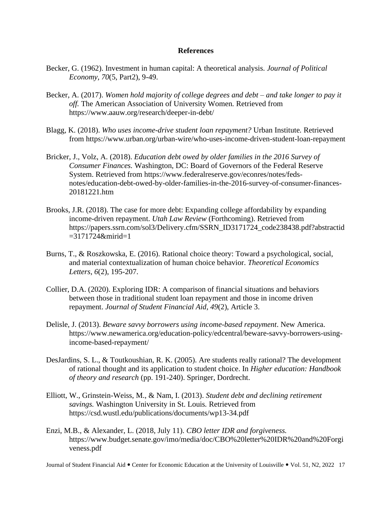## **References**

- Becker, G. (1962). Investment in human capital: A theoretical analysis. *Journal of Political Economy, 70*(5, Part2), 9-49.
- Becker, A. (2017). *Women hold majority of college degrees and debt – and take longer to pay it off.* The American Association of University Women*.* Retrieved from https://www.aauw.org/research/deeper-in-debt/
- Blagg, K. (2018). *Who uses income-drive student loan repayment?* Urban Institute*.* Retrieved from [https://www.urban.org/urban-wire/who-uses-income-driven-student-loan-repayment](about:blank)
- Bricker, J., Volz, A. (2018). *Education debt owed by older families in the 2016 Survey of Consumer Finances.* Washington, DC: Board of Governors of the Federal Reserve System. Retrieved from https://www.federalreserve.gov/econres/notes/fedsnotes/education-debt-owed-by-older-families-in-the-2016-survey-of-consumer-finances-20181221.htm
- Brooks, J.R. (2018). The case for more debt: Expanding college affordability by expanding income-driven repayment. *Utah Law Review* (Forthcoming). Retrieved from [https://papers.ssrn.com/sol3/Delivery.cfm/SSRN\\_ID3171724\\_code238438.pdf?abstractid](about:blank) [=3171724&mirid=1](about:blank)
- Burns, T., & Roszkowska, E. (2016). Rational choice theory: Toward a psychological, social, and material contextualization of human choice behavior. *Theoretical Economics Letters*, *6*(2), 195-207.
- Collier, D.A. (2020). Exploring IDR: A comparison of financial situations and behaviors between those in traditional student loan repayment and those in income driven repayment. *Journal of Student Financial Aid, 49*(2), Article 3.
- Delisle, J. (2013). *Beware savvy borrowers using income-based repayment*. New America. [https://www.newamerica.org/education-policy/edcentral/beware-savvy-borrowers-using](about:blank)[income-based-repayment/](about:blank)
- DesJardins, S. L., & Toutkoushian, R. K. (2005). Are students really rational? The development of rational thought and its application to student choice. In *Higher education: Handbook of theory and research* (pp. 191-240). Springer, Dordrecht.
- Elliott, W., Grinstein-Weiss, M., & Nam, I. (2013). *Student debt and declining retirement savings.* Washington University in St. Louis*.* Retrieved from [https://csd.wustl.edu/publications/documents/wp13-34.pdf](about:blank)
- Enzi, M.B., & Alexander, L. (2018, July 11). *CBO letter IDR and forgiveness.*  [https://www.budget.senate.gov/imo/media/doc/CBO%20letter%20IDR%20and%20Forgi](about:blank) [veness.pdf](about:blank)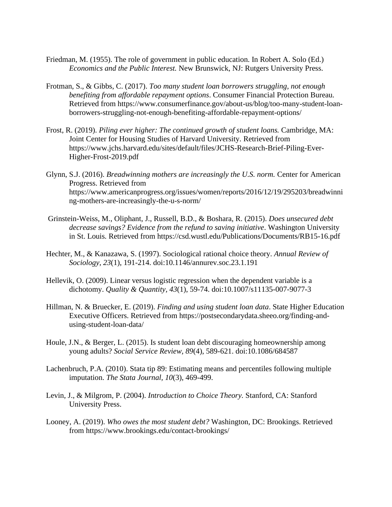- Friedman, M. (1955). The role of government in public education. In Robert A. Solo (Ed.) *Economics and the Public Interest.* New Brunswick, NJ: Rutgers University Press.
- Frotman, S., & Gibbs, C. (2017). *Too many student loan borrowers struggling, not enough benefiting from affordable repayment options*. Consumer Financial Protection Bureau*.*  Retrieved from [https://www.consumerfinance.gov/about-us/blog/too-many-student-loan](about:blank)[borrowers-struggling-not-enough-benefiting-affordable-repayment-options/](about:blank)
- Frost, R. (2019). *Piling ever higher: The continued growth of student loans.* Cambridge, MA: Joint Center for Housing Studies of Harvard University. Retrieved from https://www.jchs.harvard.edu/sites/default/files/JCHS-Research-Brief-Piling-Ever-Higher-Frost-2019.pdf
- Glynn, S.J. (2016). *Breadwinning mothers are increasingly the U.S. norm.* Center for American Progress. Retrieved from [https://www.americanprogress.org/issues/women/reports/2016/12/19/295203/breadwinni](about:blank) [ng-mothers-are-increasingly-the-u-s-norm/](about:blank)
- Grinstein-Weiss, M., Oliphant, J., Russell, B.D., & Boshara, R. (2015). *Does unsecured debt decrease savings? Evidence from the refund to saving initiative*. Washington University in St. Louis*.* Retrieved from [https://csd.wustl.edu/Publications/Documents/RB15-16.pdf](about:blank)
- Hechter, M., & Kanazawa, S. (1997). Sociological rational choice theory. *Annual Review of Sociology, 23*(1), 191-214. doi:10.1146/annurev.soc.23.1.191
- Hellevik, O. (2009). Linear versus logistic regression when the dependent variable is a dichotomy. *Quality & Quantity, 43*(1), 59-74. doi:10.1007/s11135-007-9077-3
- Hillman, N. & Bruecker, E. (2019). *Finding and using student loan data*. State Higher Education Executive Officers. Retrieved from [https://postsecondarydata.sheeo.org/finding-and](about:blank)[using-student-loan-data/](about:blank)
- Houle, J.N., & Berger, L. (2015). Is student loan debt discouraging homeownership among young adults? *Social Service Review, 89*(4), 589-621. doi:10.1086/684587
- Lachenbruch, P.A. (2010). Stata tip 89: Estimating means and percentiles following multiple imputation. *The Stata Journal, 10*(3), 469-499.
- Levin, J., & Milgrom, P. (2004). *Introduction to Choice Theory.* Stanford, CA: Stanford University Press.
- Looney, A. (2019). *Who owes the most student debt?* Washington, DC: Brookings. Retrieved from https://www.brookings.edu/contact-brookings/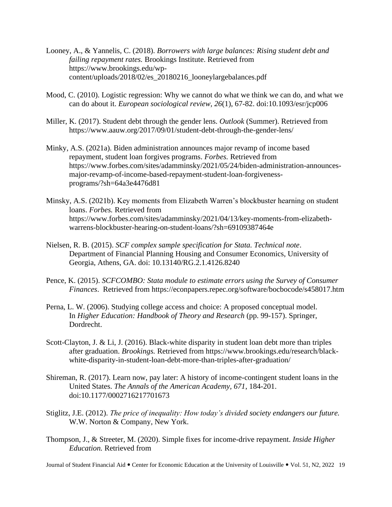- Looney, A., & Yannelis, C. (2018). *Borrowers with large balances: Rising student debt and failing repayment rates.* Brookings Institute. Retrieved from [https://www.brookings.edu/wp](about:blank)[content/uploads/2018/02/es\\_20180216\\_looneylargebalances.pdf](about:blank)
- Mood, C. (2010). Logistic regression: Why we cannot do what we think we can do, and what we can do about it. *European sociological review, 26*(1), 67-82. doi:10.1093/esr/jcp006
- Miller, K. (2017). Student debt through the gender lens. *Outlook* (Summer). Retrieved from [https://www.aauw.org/2017/09/01/student-debt-through-the-gender-lens/](about:blank)
- Minky, A.S. (2021a). Biden administration announces major revamp of income based repayment, student loan forgives programs. *Forbes.* Retrieved from https://www.forbes.com/sites/adamminsky/2021/05/24/biden-administration-announcesmajor-revamp-of-income-based-repayment-student-loan-forgivenessprograms/?sh=64a3e4476d81
- Minsky, A.S. (2021b). Key moments from Elizabeth Warren's blockbuster hearning on student loans. *Forbes.* Retrieved from https://www.forbes.com/sites/adamminsky/2021/04/13/key-moments-from-elizabethwarrens-blockbuster-hearing-on-student-loans/?sh=69109387464e
- Nielsen, R. B. (2015). *SCF complex sample specification for Stata. Technical note*. Department of Financial Planning Housing and Consumer Economics, University of Georgia, Athens, GA. doi: 10.13140/RG.2.1.4126.8240
- Pence, K. (2015). *SCFCOMBO: Stata module to estimate errors using the Survey of Consumer Finances*. Retrieved from [https://econpapers.repec.org/software/bocbocode/s458017.htm](about:blank)
- Perna, L. W. (2006). Studying college access and choice: A proposed conceptual model. In *Higher Education: Handbook of Theory and Research* (pp. 99-157). Springer, Dordrecht.
- Scott-Clayton, J. & Li, J. (2016). Black-white disparity in student loan debt more than triples after graduation. *Brookings.* Retrieved from [https://www.brookings.edu/research/black](about:blank)[white-disparity-in-student-loan-debt-more-than-triples-after-graduation/](about:blank)
- Shireman, R. (2017). Learn now, pay later: A history of income-contingent student loans in the United States. *The Annals of the American Academy, 671*, 184-201. doi:10.1177/0002716217701673
- Stiglitz, J.E. (2012). *The price of inequality: How today's divided society endangers our future.*  W.W. Norton & Company, New York.
- Thompson, J., & Streeter, M. (2020). Simple fixes for income-drive repayment. *Inside Higher Education.* Retrieved from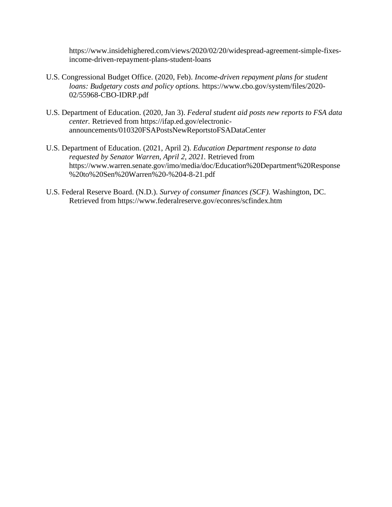https://www.insidehighered.com/views/2020/02/20/widespread-agreement-simple-fixesincome-driven-repayment-plans-student-loans

- U.S. Congressional Budget Office. (2020, Feb). *Income-driven repayment plans for student loans: Budgetary costs and policy options.* https://www.cbo.gov/system/files/2020- 02/55968-CBO-IDRP.pdf
- U.S. Department of Education. (2020, Jan 3). *Federal student aid posts new reports to FSA data center.* Retrieved from https://ifap.ed.gov/electronicannouncements/010320FSAPostsNewReportstoFSADataCenter
- U.S. Department of Education. (2021, April 2). *Education Department response to data requested by Senator Warren, April 2, 2021.* Retrieved from https://www.warren.senate.gov/imo/media/doc/Education%20Department%20Response %20to%20Sen%20Warren%20-%204-8-21.pdf
- U.S. Federal Reserve Board. (N.D.). *Survey of consumer finances (SCF).* Washington, DC. Retrieved from [https://www.federalreserve.gov/econres/scfindex.htm](about:blank)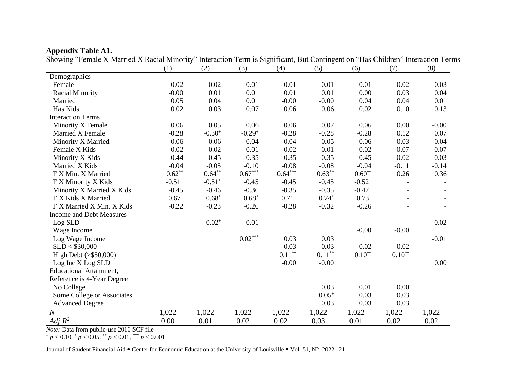| $\frac{1}{2}$ of $\frac{1}{2}$ is the state of $\frac{1}{2}$ is the state of $\frac{1}{2}$ in $\frac{1}{2}$ is the state of $\frac{1}{2}$ |                      |                      |             |           |            |                   |             | micraction Term is significant, But Contingent on Tras Chritical Interaction Terms |
|-------------------------------------------------------------------------------------------------------------------------------------------|----------------------|----------------------|-------------|-----------|------------|-------------------|-------------|------------------------------------------------------------------------------------|
|                                                                                                                                           | (1)                  | (2)                  | (3)         | (4)       | (5)        | (6)               | (7)         | (8)                                                                                |
| Demographics                                                                                                                              |                      |                      |             |           |            |                   |             |                                                                                    |
| Female                                                                                                                                    | 0.02                 | 0.02                 | 0.01        | 0.01      | 0.01       | 0.01              | 0.02        | 0.03                                                                               |
| <b>Racial Minority</b>                                                                                                                    | $-0.00$              | 0.01                 | 0.01        | 0.01      | 0.01       | 0.00              | 0.03        | 0.04                                                                               |
| Married                                                                                                                                   | 0.05                 | 0.04                 | 0.01        | $-0.00$   | $-0.00$    | 0.04              | 0.04        | 0.01                                                                               |
| Has Kids                                                                                                                                  | 0.02                 | 0.03                 | 0.07        | 0.06      | 0.06       | 0.02              | 0.10        | 0.13                                                                               |
| <b>Interaction Terms</b>                                                                                                                  |                      |                      |             |           |            |                   |             |                                                                                    |
| Minority X Female                                                                                                                         | 0.06                 | 0.05                 | 0.06        | 0.06      | 0.07       | 0.06              | 0.00        | $-0.00$                                                                            |
| Married X Female                                                                                                                          | $-0.28$              | $-0.30^{+}$          | $-0.29^{+}$ | $-0.28$   | $-0.28$    | $-0.28$           | 0.12        | 0.07                                                                               |
| Minority X Married                                                                                                                        | 0.06                 | 0.06                 | 0.04        | 0.04      | 0.05       | 0.06              | 0.03        | 0.04                                                                               |
| Female X Kids                                                                                                                             | 0.02                 | 0.02                 | 0.01        | 0.02      | 0.01       | 0.02              | $-0.07$     | $-0.07$                                                                            |
| Minority X Kids                                                                                                                           | 0.44                 | 0.45                 | 0.35        | 0.35      | 0.35       | 0.45              | $-0.02$     | $-0.03$                                                                            |
| Married X Kids                                                                                                                            | $-0.04$              | $-0.05$              | $-0.10$     | $-0.08$   | $-0.08$    | $-0.04$           | $-0.11$     | $-0.14$                                                                            |
| F X Min. X Married                                                                                                                        | $0.62**$             | $0.64***$            | $0.67***$   | $0.64***$ | $0.63***$  | $0.60^{\ast\ast}$ | 0.26        | 0.36                                                                               |
| F X Minority X Kids                                                                                                                       | $-0.51$ <sup>+</sup> | $-0.51$ <sup>+</sup> | $-0.45$     | $-0.45$   | $-0.45$    | $-0.52^{+}$       |             |                                                                                    |
| Minority X Married X Kids                                                                                                                 | $-0.45$              | $-0.46$              | $-0.36$     | $-0.35$   | $-0.35$    | $-0.47+$          |             |                                                                                    |
| F X Kids X Married                                                                                                                        | $0.67+$              | $0.68^{+}$           | $0.68^{+}$  | $0.71+$   | $0.74^{+}$ | $0.73+$           |             |                                                                                    |
| F X Married X Min. X Kids                                                                                                                 | $-0.22$              | $-0.23$              | $-0.26$     | $-0.28$   | $-0.32$    | $-0.26$           |             |                                                                                    |
| <b>Income and Debt Measures</b>                                                                                                           |                      |                      |             |           |            |                   |             |                                                                                    |
| $\rm Log$ SLD                                                                                                                             |                      | $0.02^{+}$           | 0.01        |           |            |                   |             | $-0.02$                                                                            |
| Wage Income                                                                                                                               |                      |                      |             |           |            | $-0.00$           | $-0.00$     |                                                                                    |
| Log Wage Income                                                                                                                           |                      |                      | $0.02***$   | 0.03      | 0.03       |                   |             | $-0.01$                                                                            |
| SLD < \$30,000                                                                                                                            |                      |                      |             | 0.03      | 0.03       | 0.02              | 0.02        |                                                                                    |
| High Debt $(>\$50,000)$                                                                                                                   |                      |                      |             | $0.11***$ | $0.11***$  | $0.10^{\ast\ast}$ | $0.10^{**}$ |                                                                                    |
| Log Inc X Log SLD                                                                                                                         |                      |                      |             | $-0.00$   | $-0.00$    |                   |             | 0.00                                                                               |
| <b>Educational Attainment,</b>                                                                                                            |                      |                      |             |           |            |                   |             |                                                                                    |
| Reference is 4-Year Degree                                                                                                                |                      |                      |             |           |            |                   |             |                                                                                    |
| No College                                                                                                                                |                      |                      |             |           | 0.03       | 0.01              | 0.00        |                                                                                    |
| Some College or Associates                                                                                                                |                      |                      |             |           | $0.05^{+}$ | 0.03              | 0.03        |                                                                                    |
| <b>Advanced Degree</b>                                                                                                                    |                      |                      |             |           | 0.03       | 0.03              | 0.03        |                                                                                    |
| $\overline{N}$                                                                                                                            | 1,022                | 1,022                | 1,022       | 1,022     | 1,022      | 1,022             | 1,022       | 1,022                                                                              |
| Adj $R^2$                                                                                                                                 | 0.00                 | 0.01                 | 0.02        | 0.02      | 0.03       | 0.01              | 0.02        | 0.02                                                                               |

**Appendix Table A1.** Showing "Female X Married X Racial Minority" Interaction Term is Significant, But Contingent on "Has Children" Interaction Terms

*Note:* Data from public-use 2016 SCF file

<sup>+</sup> *p* < 0.10, \* *p* < 0.05, \*\* *p* < 0.01, \*\*\* *p* < 0.001